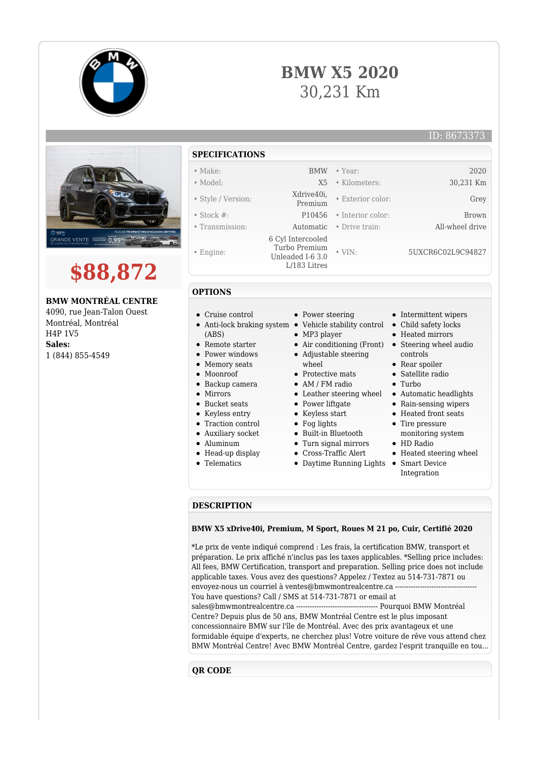





# **\$88,872**

# **BMW MONTRÉAL CENTRE**

4090, rue Jean-Talon Ouest Montréal, Montréal H4P 1V5 **Sales:** 1 (844) 855-4549

# **SPECIFICATIONS**

- Make: BMW Year: 2020
- Model: X5 Kilometers: 30,231 Km
- Style / Version: Xdrive40i,
- 
- 
- Engine:
- 

**OPTIONS**

- Exterior color: Grey • Stock #: P10456 • Interior color: Brown • Transmission: Automatic • Drive train: All-wheel drive 6 Cyl Intercooled Turbo Premium Unleaded I-6 3.0 L/183 Litres • VIN: 5UXCR6C02L9C94827
	-
- Cruise control
- Anti-lock braking system Vehicle stability control Child safety locks (ABS)
- Remote starter
- Power windows
- Memory seats
- Moonroof
- Backup camera
- Mirrors
- Bucket seats
- Keyless entry
- Traction control
- Auxiliary socket
- Aluminum
- 
- Head-up display
- Telematics
- Power steering
- 
- MP3 player
- 
- Adjustable steering whool
- Protective mats
- AM / FM radio
- 
- Power liftgate
- Keyless start
- Fog lights
- Built-in Bluetooth
- Turn signal mirrors
- Cross-Traffic Alert
- - Daytime Running Lights Smart Device
- Intermittent wipers
- 
- Heated mirrors
- Air conditioning (Front) Steering wheel audio controls
	- Rear spoiler
	- Satellite radio
	- Turbo
- Leather steering wheel Automatic headlights
	- Rain-sensing wipers
	- Heated front seats
	- Tire pressure monitoring system
	- HD Radio
	- Heated steering wheel
	- Integration

#### **DESCRIPTION**

### **BMW X5 xDrive40i, Premium, M Sport, Roues M 21 po, Cuir, Certifié 2020**

\*Le prix de vente indiqué comprend : Les frais, la certification BMW, transport et préparation. Le prix affiché n'inclus pas les taxes applicables. \*Selling price includes: All fees, BMW Certification, transport and preparation. Selling price does not include applicable taxes. Vous avez des questions? Appelez / Textez au 514-731-7871 ou envoyez-nous un courriel à ventes@bmwmontrealcentre.ca ---You have questions? Call / SMS at 514-731-7871 or email at sales@bmwmontrealcentre.ca ------------------------------------ Pourquoi BMW Montréal Centre? Depuis plus de 50 ans, BMW Montréal Centre est le plus imposant concessionnaire BMW sur l'île de Montréal. Avec des prix avantageux et une formidable équipe d'experts, ne cherchez plus! Votre voiture de rêve vous attend chez BMW Montréal Centre! Avec BMW Montréal Centre, gardez l'esprit tranquille en tou...

## **QR CODE**